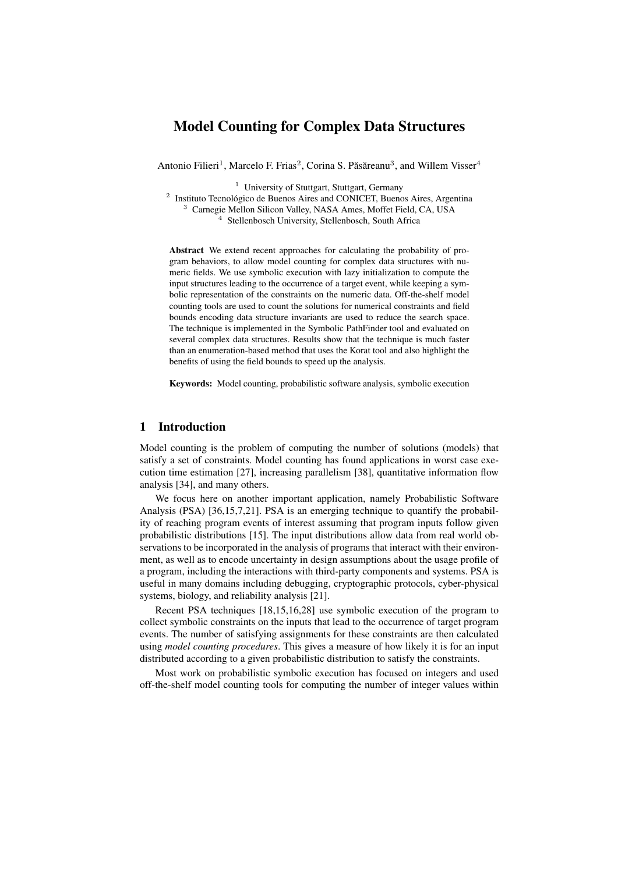# Model Counting for Complex Data Structures

Antonio Filieri<sup>1</sup>, Marcelo F. Frias<sup>2</sup>, Corina S. Păsăreanu<sup>3</sup>, and Willem Visser<sup>4</sup>

<sup>1</sup> University of Stuttgart, Stuttgart, Germany

<sup>2</sup> Instituto Tecnológico de Buenos Aires and CONICET, Buenos Aires, Argentina

<sup>3</sup> Carnegie Mellon Silicon Valley, NASA Ames, Moffet Field, CA, USA

4 Stellenbosch University, Stellenbosch, South Africa

Abstract We extend recent approaches for calculating the probability of program behaviors, to allow model counting for complex data structures with numeric fields. We use symbolic execution with lazy initialization to compute the input structures leading to the occurrence of a target event, while keeping a symbolic representation of the constraints on the numeric data. Off-the-shelf model counting tools are used to count the solutions for numerical constraints and field bounds encoding data structure invariants are used to reduce the search space. The technique is implemented in the Symbolic PathFinder tool and evaluated on several complex data structures. Results show that the technique is much faster than an enumeration-based method that uses the Korat tool and also highlight the benefits of using the field bounds to speed up the analysis.

Keywords: Model counting, probabilistic software analysis, symbolic execution

# 1 Introduction

Model counting is the problem of computing the number of solutions (models) that satisfy a set of constraints. Model counting has found applications in worst case execution time estimation [27], increasing parallelism [38], quantitative information flow analysis [34], and many others.

We focus here on another important application, namely Probabilistic Software Analysis (PSA) [36,15,7,21]. PSA is an emerging technique to quantify the probability of reaching program events of interest assuming that program inputs follow given probabilistic distributions [15]. The input distributions allow data from real world observations to be incorporated in the analysis of programs that interact with their environment, as well as to encode uncertainty in design assumptions about the usage profile of a program, including the interactions with third-party components and systems. PSA is useful in many domains including debugging, cryptographic protocols, cyber-physical systems, biology, and reliability analysis [21].

Recent PSA techniques [18,15,16,28] use symbolic execution of the program to collect symbolic constraints on the inputs that lead to the occurrence of target program events. The number of satisfying assignments for these constraints are then calculated using *model counting procedures*. This gives a measure of how likely it is for an input distributed according to a given probabilistic distribution to satisfy the constraints.

Most work on probabilistic symbolic execution has focused on integers and used off-the-shelf model counting tools for computing the number of integer values within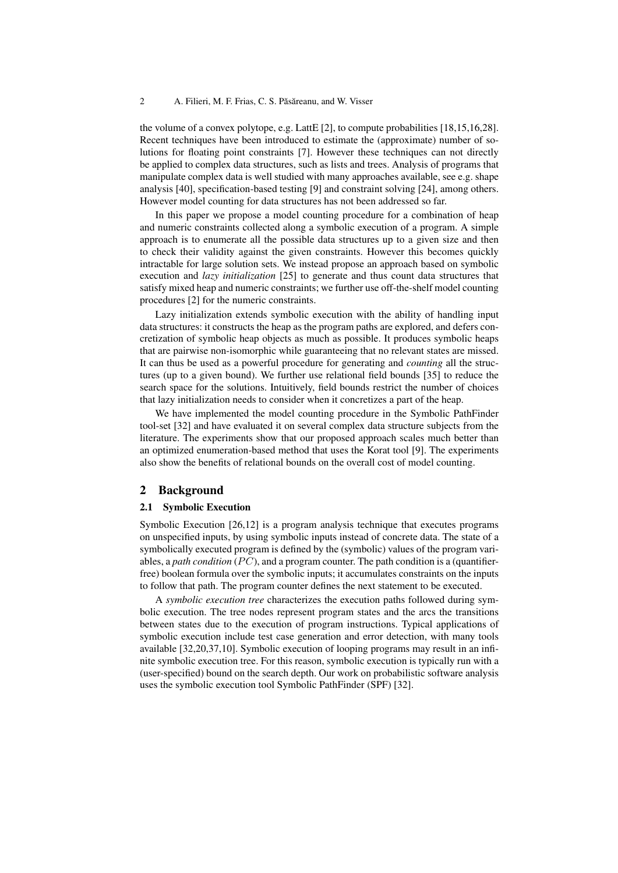the volume of a convex polytope, e.g. LattE [2], to compute probabilities [18,15,16,28]. Recent techniques have been introduced to estimate the (approximate) number of solutions for floating point constraints [7]. However these techniques can not directly be applied to complex data structures, such as lists and trees. Analysis of programs that manipulate complex data is well studied with many approaches available, see e.g. shape analysis [40], specification-based testing [9] and constraint solving [24], among others. However model counting for data structures has not been addressed so far.

In this paper we propose a model counting procedure for a combination of heap and numeric constraints collected along a symbolic execution of a program. A simple approach is to enumerate all the possible data structures up to a given size and then to check their validity against the given constraints. However this becomes quickly intractable for large solution sets. We instead propose an approach based on symbolic execution and *lazy initialization* [25] to generate and thus count data structures that satisfy mixed heap and numeric constraints; we further use off-the-shelf model counting procedures [2] for the numeric constraints.

Lazy initialization extends symbolic execution with the ability of handling input data structures: it constructs the heap as the program paths are explored, and defers concretization of symbolic heap objects as much as possible. It produces symbolic heaps that are pairwise non-isomorphic while guaranteeing that no relevant states are missed. It can thus be used as a powerful procedure for generating and *counting* all the structures (up to a given bound). We further use relational field bounds [35] to reduce the search space for the solutions. Intuitively, field bounds restrict the number of choices that lazy initialization needs to consider when it concretizes a part of the heap.

We have implemented the model counting procedure in the Symbolic PathFinder tool-set [32] and have evaluated it on several complex data structure subjects from the literature. The experiments show that our proposed approach scales much better than an optimized enumeration-based method that uses the Korat tool [9]. The experiments also show the benefits of relational bounds on the overall cost of model counting.

## 2 Background

## 2.1 Symbolic Execution

Symbolic Execution [26,12] is a program analysis technique that executes programs on unspecified inputs, by using symbolic inputs instead of concrete data. The state of a symbolically executed program is defined by the (symbolic) values of the program variables, a *path condition* ( $PC$ ), and a program counter. The path condition is a (quantifierfree) boolean formula over the symbolic inputs; it accumulates constraints on the inputs to follow that path. The program counter defines the next statement to be executed.

A *symbolic execution tree* characterizes the execution paths followed during symbolic execution. The tree nodes represent program states and the arcs the transitions between states due to the execution of program instructions. Typical applications of symbolic execution include test case generation and error detection, with many tools available [32,20,37,10]. Symbolic execution of looping programs may result in an infinite symbolic execution tree. For this reason, symbolic execution is typically run with a (user-specified) bound on the search depth. Our work on probabilistic software analysis uses the symbolic execution tool Symbolic PathFinder (SPF) [32].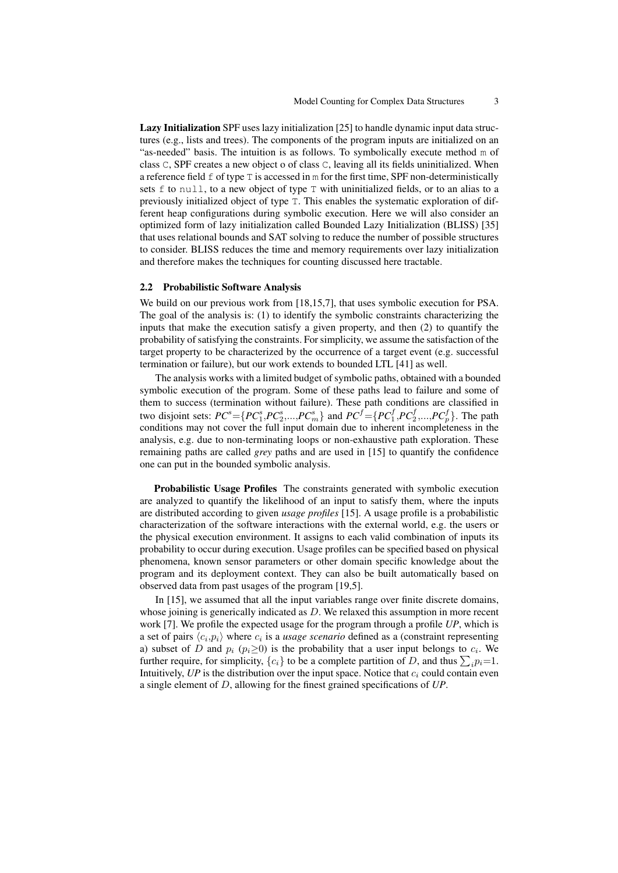Lazy Initialization SPF uses lazy initialization [25] to handle dynamic input data structures (e.g., lists and trees). The components of the program inputs are initialized on an "as-needed" basis. The intuition is as follows. To symbolically execute method m of class C, SPF creates a new object o of class C, leaving all its fields uninitialized. When a reference field  $\epsilon$  of type T is accessed in m for the first time, SPF non-deterministically sets  $f$  to null, to a new object of type  $T$  with uninitialized fields, or to an alias to a previously initialized object of type T. This enables the systematic exploration of different heap configurations during symbolic execution. Here we will also consider an optimized form of lazy initialization called Bounded Lazy Initialization (BLISS) [35] that uses relational bounds and SAT solving to reduce the number of possible structures to consider. BLISS reduces the time and memory requirements over lazy initialization and therefore makes the techniques for counting discussed here tractable.

## 2.2 Probabilistic Software Analysis

We build on our previous work from [18,15,7], that uses symbolic execution for PSA. The goal of the analysis is: (1) to identify the symbolic constraints characterizing the inputs that make the execution satisfy a given property, and then (2) to quantify the probability of satisfying the constraints. For simplicity, we assume the satisfaction of the target property to be characterized by the occurrence of a target event (e.g. successful termination or failure), but our work extends to bounded LTL [41] as well.

The analysis works with a limited budget of symbolic paths, obtained with a bounded symbolic execution of the program. Some of these paths lead to failure and some of them to success (termination without failure). These path conditions are classified in two disjoint sets:  $PC^s = \{PC^s_1, PC^s_2, ..., PC^s_m\}$  and  $PC^f = \{PC^f_1, PC^f_2, ..., PC^f_p\}$ . The path conditions may not cover the full input domain due to inherent incompleteness in the analysis, e.g. due to non-terminating loops or non-exhaustive path exploration. These remaining paths are called *grey* paths and are used in [15] to quantify the confidence one can put in the bounded symbolic analysis.

Probabilistic Usage Profiles The constraints generated with symbolic execution are analyzed to quantify the likelihood of an input to satisfy them, where the inputs are distributed according to given *usage profiles* [15]. A usage profile is a probabilistic characterization of the software interactions with the external world, e.g. the users or the physical execution environment. It assigns to each valid combination of inputs its probability to occur during execution. Usage profiles can be specified based on physical phenomena, known sensor parameters or other domain specific knowledge about the program and its deployment context. They can also be built automatically based on observed data from past usages of the program [19,5].

In [15], we assumed that all the input variables range over finite discrete domains, whose joining is generically indicated as D. We relaxed this assumption in more recent work [7]. We profile the expected usage for the program through a profile *UP*, which is a set of pairs  $\langle c_i, p_i \rangle$  where  $c_i$  is a *usage scenario* defined as a (constraint representing a) subset of D and  $p_i$  ( $p_i \ge 0$ ) is the probability that a user input belongs to  $c_i$ . We further require, for simplicity,  $\{c_i\}$  to be a complete partition of D, and thus  $\sum_i p_i = 1$ . Intuitively,  $UP$  is the distribution over the input space. Notice that  $c_i$  could contain even a single element of D, allowing for the finest grained specifications of *UP*.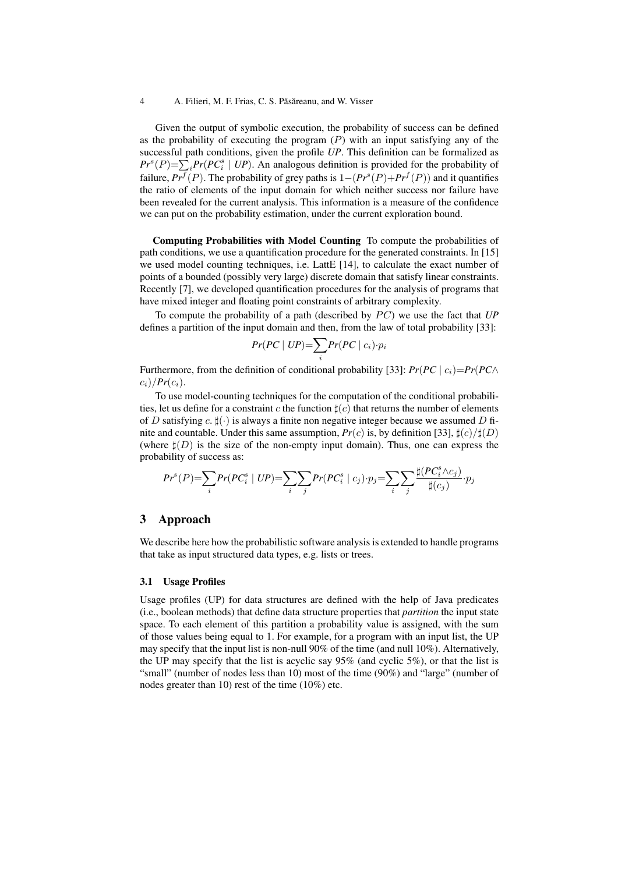Given the output of symbolic execution, the probability of success can be defined as the probability of executing the program  $(P)$  with an input satisfying any of the successful path conditions, given the profile *UP*. This definition can be formalized as  $Pr^{s}(P) = \sum_{i} Pr(PC_{i}^{s} | UP)$ . An analogous definition is provided for the probability of failure,  $Pr^{f}(P)$ . The probability of grey paths is  $1-(Pr^{s}(P)+Pr^{f}(P))$  and it quantifies the ratio of elements of the input domain for which neither success nor failure have been revealed for the current analysis. This information is a measure of the confidence we can put on the probability estimation, under the current exploration bound.

Computing Probabilities with Model Counting To compute the probabilities of path conditions, we use a quantification procedure for the generated constraints. In [15] we used model counting techniques, i.e. LattE [14], to calculate the exact number of points of a bounded (possibly very large) discrete domain that satisfy linear constraints. Recently [7], we developed quantification procedures for the analysis of programs that have mixed integer and floating point constraints of arbitrary complexity.

To compute the probability of a path (described by PC) we use the fact that UP defines a partition of the input domain and then, from the law of total probability [33]:

$$
Pr(PC | UP) = \sum_{i} Pr(PC | c_i) \cdot p_i
$$

Furthermore, from the definition of conditional probability [33]:  $Pr(PC \mid c_i) = Pr(PC \wedge c_i)$  $c_i$ )/ $Pr(c_i)$ .

To use model-counting techniques for the computation of the conditional probabilities, let us define for a constraint c the function  $\sharp(c)$  that returns the number of elements of D satisfying c.  $\sharp(\cdot)$  is always a finite non negative integer because we assumed D finite and countable. Under this same assumption,  $Pr(c)$  is, by definition [33],  $\sharp(c)/\sharp(D)$ (where  $\sharp(D)$  is the size of the non-empty input domain). Thus, one can express the probability of success as:

$$
Pr^{s}(P) = \sum_{i} Pr(PC_{i}^{s} | UP) = \sum_{i} \sum_{j} Pr(PC_{i}^{s} | c_{j}) \cdot p_{j} = \sum_{i} \sum_{j} \frac{\sharp(PC_{i}^{s} \wedge c_{j})}{\sharp(c_{j})} \cdot p_{j}
$$

## 3 Approach

We describe here how the probabilistic software analysis is extended to handle programs that take as input structured data types, e.g. lists or trees.

#### 3.1 Usage Profiles

Usage profiles (UP) for data structures are defined with the help of Java predicates (i.e., boolean methods) that define data structure properties that *partition* the input state space. To each element of this partition a probability value is assigned, with the sum of those values being equal to 1. For example, for a program with an input list, the UP may specify that the input list is non-null 90% of the time (and null 10%). Alternatively, the UP may specify that the list is acyclic say 95% (and cyclic 5%), or that the list is "small" (number of nodes less than 10) most of the time (90%) and "large" (number of nodes greater than 10) rest of the time (10%) etc.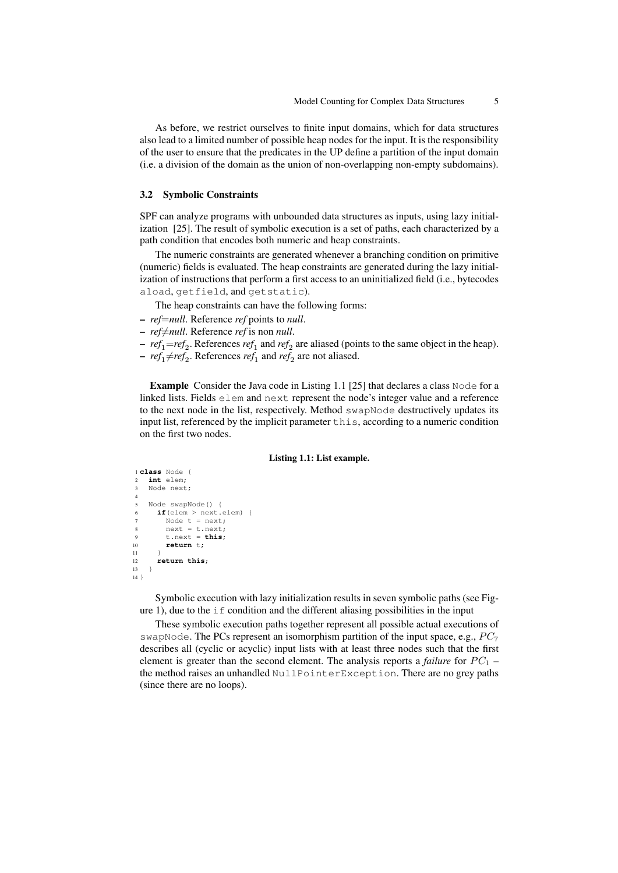As before, we restrict ourselves to finite input domains, which for data structures also lead to a limited number of possible heap nodes for the input. It is the responsibility of the user to ensure that the predicates in the UP define a partition of the input domain (i.e. a division of the domain as the union of non-overlapping non-empty subdomains).

#### 3.2 Symbolic Constraints

SPF can analyze programs with unbounded data structures as inputs, using lazy initialization [25]. The result of symbolic execution is a set of paths, each characterized by a path condition that encodes both numeric and heap constraints.

The numeric constraints are generated whenever a branching condition on primitive (numeric) fields is evaluated. The heap constraints are generated during the lazy initialization of instructions that perform a first access to an uninitialized field (i.e., bytecodes aload, getfield, and getstatic).

The heap constraints can have the following forms:

- *ref*=*null*. Reference *ref* points to *null*.
- $-$  *ref* $\neq$ *null*. Reference *ref* is non *null*.
- $-ref_1=ref_2$ . References *ref*<sub>1</sub> and *ref*<sub>2</sub> are aliased (points to the same object in the heap).
- $-ref_1 \neq ref_2$ . References *ref*<sub>1</sub> and *ref*<sub>2</sub> are not aliased.

Example Consider the Java code in Listing 1.1 [25] that declares a class Node for a linked lists. Fields elem and next represent the node's integer value and a reference to the next node in the list, respectively. Method swapNode destructively updates its input list, referenced by the implicit parameter this, according to a numeric condition on the first two nodes.

## Listing 1.1: List example.

```
1 class Node {
2 int elem;
   Node next;
 4
   5 Node swapNode() {
      6 if(elem > next.elem) {
        Node t = next;next = t.next;9 t.next = this;
10 return t;
\frac{11}{12}return this;
13 }
14 - 1
```
Symbolic execution with lazy initialization results in seven symbolic paths (see Figure 1), due to the  $if$  condition and the different aliasing possibilities in the input

These symbolic execution paths together represent all possible actual executions of swapNode. The PCs represent an isomorphism partition of the input space, e.g.,  $PC_7$ describes all (cyclic or acyclic) input lists with at least three nodes such that the first element is greater than the second element. The analysis reports a *failure* for  $PC_1$  – the method raises an unhandled NullPointerException. There are no grey paths (since there are no loops).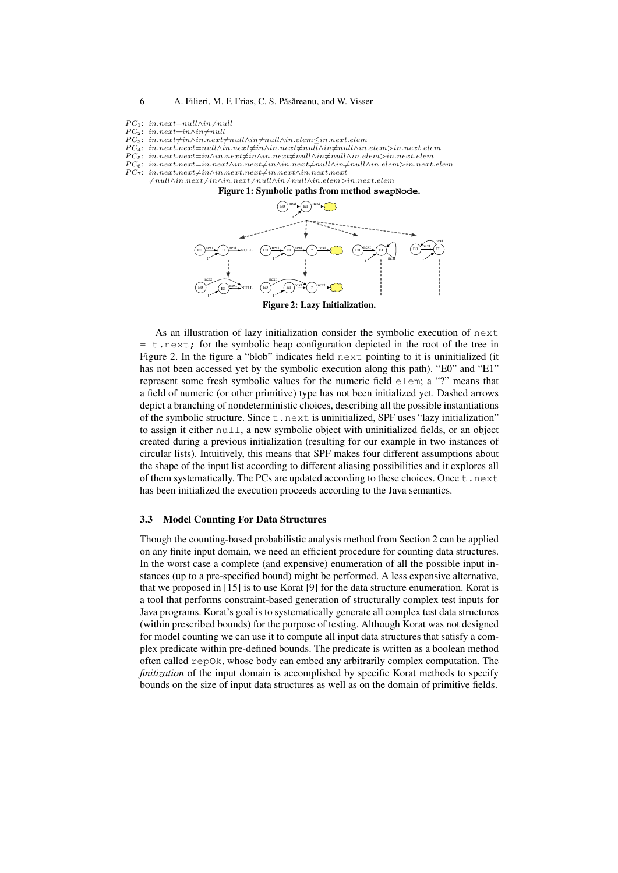- $PC_1$ : in.next=null∧in≠null
- $PC_2$ : in.next=in∧in≠null
- PC<sub>3</sub>: in.next≠in∧in.next≠null∧in≠null∧in.elem≤in.next.elem
- $PC_4$ : in.next.next=null∧in.next≠in∧in.next≠null∧in≠null∧in.elem>in.next.elem
- $PC_5:$  in.next.next=in∧in.next $\neq$ in∧in.next $\neq$ null∧in $\neq$ null∧in.elem>in.next.elem
- PC<sub>6</sub>: in.next.next=in.next∧in.next≠in∧in.next≠null∧in≠null∧in.elem>in.next.elem
- $PC_7:$  in.next.next $\neq$ in∧in.next.next $\neq$ in.next $\wedge$ in.next.next 6=null∧in.next6=in∧in.next6=null∧in6=null∧in.elem>in.next.elem

Figure 1: Symbolic paths from method **swapNode**.



As an illustration of lazy initialization consider the symbolic execution of next  $=$   $t$ .next; for the symbolic heap configuration depicted in the root of the tree in Figure 2. In the figure a "blob" indicates field next pointing to it is uninitialized (it has not been accessed yet by the symbolic execution along this path). "E0" and "E1" represent some fresh symbolic values for the numeric field elem; a "?" means that a field of numeric (or other primitive) type has not been initialized yet. Dashed arrows depict a branching of nondeterministic choices, describing all the possible instantiations of the symbolic structure. Since t.next is uninitialized, SPF uses "lazy initialization" to assign it either null, a new symbolic object with uninitialized fields, or an object created during a previous initialization (resulting for our example in two instances of circular lists). Intuitively, this means that SPF makes four different assumptions about the shape of the input list according to different aliasing possibilities and it explores all of them systematically. The PCs are updated according to these choices. Once t.next has been initialized the execution proceeds according to the Java semantics.

## 3.3 Model Counting For Data Structures

Though the counting-based probabilistic analysis method from Section 2 can be applied on any finite input domain, we need an efficient procedure for counting data structures. In the worst case a complete (and expensive) enumeration of all the possible input instances (up to a pre-specified bound) might be performed. A less expensive alternative, that we proposed in [15] is to use Korat [9] for the data structure enumeration. Korat is a tool that performs constraint-based generation of structurally complex test inputs for Java programs. Korat's goal is to systematically generate all complex test data structures (within prescribed bounds) for the purpose of testing. Although Korat was not designed for model counting we can use it to compute all input data structures that satisfy a complex predicate within pre-defined bounds. The predicate is written as a boolean method often called repOk, whose body can embed any arbitrarily complex computation. The *finitization* of the input domain is accomplished by specific Korat methods to specify bounds on the size of input data structures as well as on the domain of primitive fields.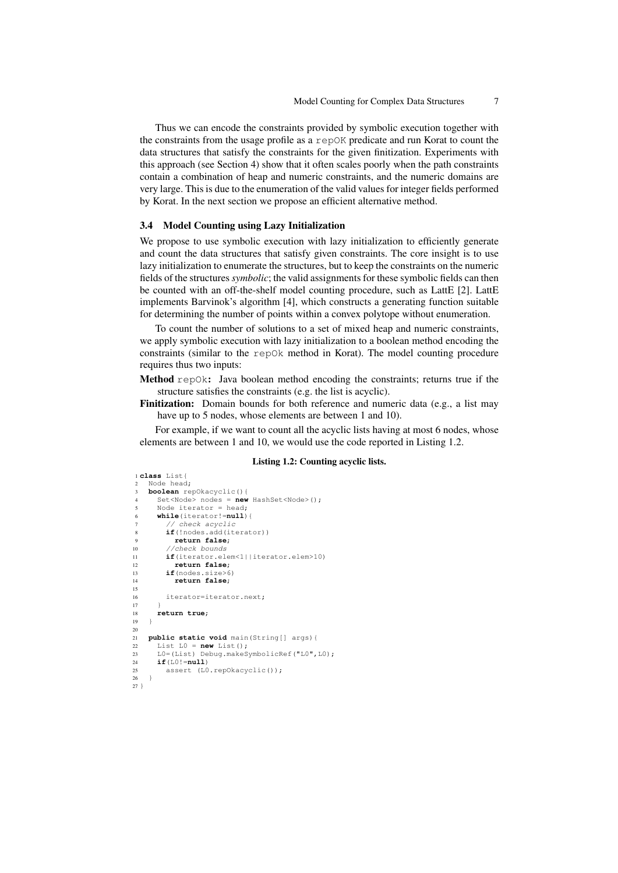Thus we can encode the constraints provided by symbolic execution together with the constraints from the usage profile as a repOK predicate and run Korat to count the data structures that satisfy the constraints for the given finitization. Experiments with this approach (see Section 4) show that it often scales poorly when the path constraints contain a combination of heap and numeric constraints, and the numeric domains are very large. This is due to the enumeration of the valid values for integer fields performed by Korat. In the next section we propose an efficient alternative method.

## 3.4 Model Counting using Lazy Initialization

We propose to use symbolic execution with lazy initialization to efficiently generate and count the data structures that satisfy given constraints. The core insight is to use lazy initialization to enumerate the structures, but to keep the constraints on the numeric fields of the structures*symbolic*; the valid assignments for these symbolic fields can then be counted with an off-the-shelf model counting procedure, such as LattE [2]. LattE implements Barvinok's algorithm [4], which constructs a generating function suitable for determining the number of points within a convex polytope without enumeration.

To count the number of solutions to a set of mixed heap and numeric constraints, we apply symbolic execution with lazy initialization to a boolean method encoding the constraints (similar to the repOk method in Korat). The model counting procedure requires thus two inputs:

Method repOk: Java boolean method encoding the constraints; returns true if the structure satisfies the constraints (e.g. the list is acyclic).

Finitization: Domain bounds for both reference and numeric data (e.g., a list may have up to 5 nodes, whose elements are between 1 and 10).

For example, if we want to count all the acyclic lists having at most 6 nodes, whose elements are between 1 and 10, we would use the code reported in Listing 1.2.

## Listing 1.2: Counting acyclic lists.

```
1 class List{
2 Node head;
   3 boolean repOkacyclic(){
      4 Set<Node> nodes = new HashSet<Node>();
     Node iterator = head:
     6 while(iterator!=null){
          ' check acyclic
       8 if(!nodes.add(iterator))
         9 return false;
10 //check bounds
11 if(iterator.elem<1||iterator.elem>10)
12 return false;<br>13 if(nodes.size>6
       13 if(nodes.size>6)
14 return false;
15
16 iterator=iterator.next;
17 }
18 return true;
19 }
20
21 public static void main(String[] args){
22 List L0 = new List();
23 L0=(List) Debug.makeSymbolicRef("L0",L0);
24 if(L0!=null)
25 assert (L0.repOkacyclic());
26 \t 327 }
```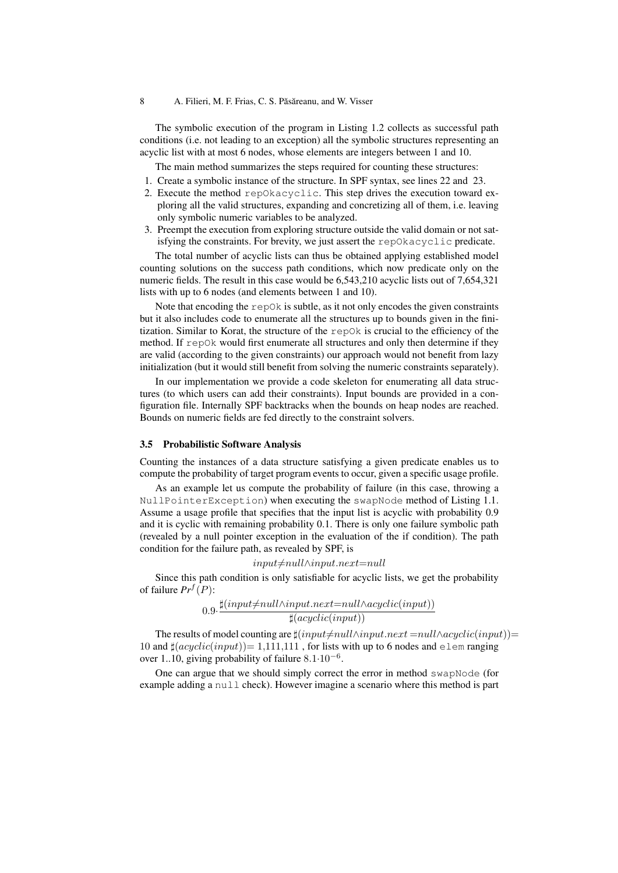The symbolic execution of the program in Listing 1.2 collects as successful path conditions (i.e. not leading to an exception) all the symbolic structures representing an acyclic list with at most 6 nodes, whose elements are integers between 1 and 10.

The main method summarizes the steps required for counting these structures:

- 1. Create a symbolic instance of the structure. In SPF syntax, see lines 22 and 23.
- 2. Execute the method repOkacyclic. This step drives the execution toward exploring all the valid structures, expanding and concretizing all of them, i.e. leaving only symbolic numeric variables to be analyzed.
- 3. Preempt the execution from exploring structure outside the valid domain or not satisfying the constraints. For brevity, we just assert the repOkacyclic predicate.

The total number of acyclic lists can thus be obtained applying established model counting solutions on the success path conditions, which now predicate only on the numeric fields. The result in this case would be 6,543,210 acyclic lists out of 7,654,321 lists with up to 6 nodes (and elements between 1 and 10).

Note that encoding the repOk is subtle, as it not only encodes the given constraints but it also includes code to enumerate all the structures up to bounds given in the finitization. Similar to Korat, the structure of the repOk is crucial to the efficiency of the method. If repOk would first enumerate all structures and only then determine if they are valid (according to the given constraints) our approach would not benefit from lazy initialization (but it would still benefit from solving the numeric constraints separately).

In our implementation we provide a code skeleton for enumerating all data structures (to which users can add their constraints). Input bounds are provided in a configuration file. Internally SPF backtracks when the bounds on heap nodes are reached. Bounds on numeric fields are fed directly to the constraint solvers.

#### 3.5 Probabilistic Software Analysis

Counting the instances of a data structure satisfying a given predicate enables us to compute the probability of target program events to occur, given a specific usage profile.

As an example let us compute the probability of failure (in this case, throwing a NullPointerException) when executing the swapNode method of Listing 1.1. Assume a usage profile that specifies that the input list is acyclic with probability 0.9 and it is cyclic with remaining probability 0.1. There is only one failure symbolic path (revealed by a null pointer exception in the evaluation of the if condition). The path condition for the failure path, as revealed by SPF, is

 $input \neq null \land input.next = null$ 

Since this path condition is only satisfiable for acyclic lists, we get the probability of failure  $Pr^f(P)$ :

> $0.9 \cdot \frac{\sharp (input \neq null \land input.next = null \land acyclic(input))}{\sharp (i \neq j \land (i \neq j \land i \land (i \neq j \land (i \neq j \land (i \neq j \land (i \neq j \land (i \neq j \land (i \neq j \land (i \neq j \land (i \neq j \land (i \neq j \land (i \neq j \land (i \neq j \land (i \neq j \land (i \neq j \land (i \neq j \land (i \neq j \land (i \neq j \land (i \neq j \land (i \neq j \land (i \neq j \land (i \neq j \land (i \neq j \land (i \$  $\sharp (acyclic(nput))$

The results of model counting are  $\sharp (input \neq null \land input.next = null \land acyclic(input))=$ 10 and  $\sharp (acyclic(input))= 1,111,111$ , for lists with up to 6 nodes and elem ranging over 1..10, giving probability of failure  $8.1·10<sup>-6</sup>$ .

One can argue that we should simply correct the error in method swapNode (for example adding a null check). However imagine a scenario where this method is part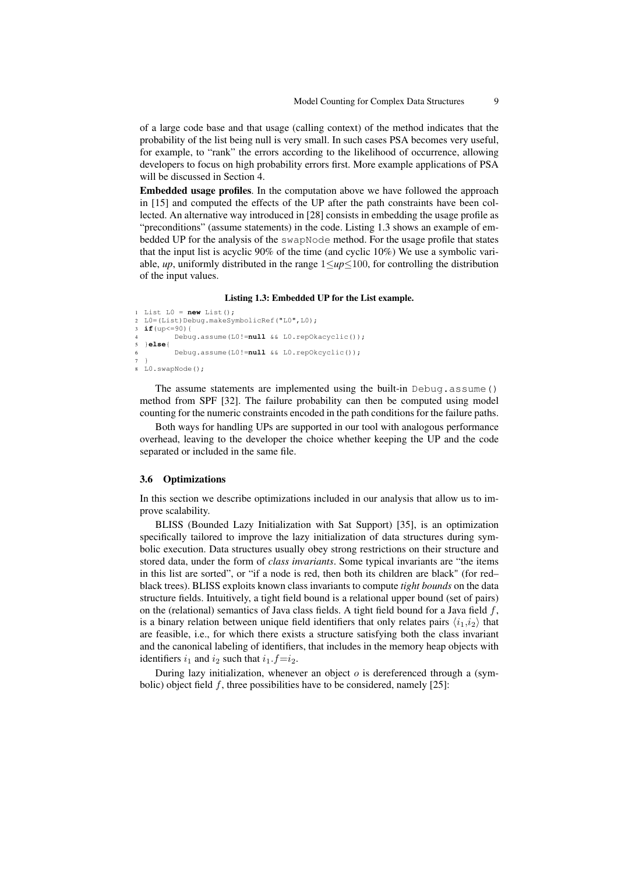of a large code base and that usage (calling context) of the method indicates that the probability of the list being null is very small. In such cases PSA becomes very useful, for example, to "rank" the errors according to the likelihood of occurrence, allowing developers to focus on high probability errors first. More example applications of PSA will be discussed in Section 4.

Embedded usage profiles. In the computation above we have followed the approach in [15] and computed the effects of the UP after the path constraints have been collected. An alternative way introduced in [28] consists in embedding the usage profile as "preconditions" (assume statements) in the code. Listing 1.3 shows an example of embedded UP for the analysis of the swapNode method. For the usage profile that states that the input list is acyclic 90% of the time (and cyclic 10%) We use a symbolic variable, *up*, uniformly distributed in the range  $1 \leq up \leq 100$ , for controlling the distribution of the input values.

#### Listing 1.3: Embedded UP for the List example.

```
1 List L0 = new List();
  L0=(List)Debug.makeSymbolicRef("L0",L0);
3 if(up<=90){
         4 Debug.assume(L0!=null && L0.repOkacyclic());
5 }else{
         6 Debug.assume(L0!=null && L0.repOkcyclic());
7 }
8 L0.swapNode();
```
The assume statements are implemented using the built-in Debug.assume() method from SPF [32]. The failure probability can then be computed using model counting for the numeric constraints encoded in the path conditions for the failure paths.

Both ways for handling UPs are supported in our tool with analogous performance overhead, leaving to the developer the choice whether keeping the UP and the code separated or included in the same file.

#### 3.6 Optimizations

In this section we describe optimizations included in our analysis that allow us to improve scalability.

BLISS (Bounded Lazy Initialization with Sat Support) [35], is an optimization specifically tailored to improve the lazy initialization of data structures during symbolic execution. Data structures usually obey strong restrictions on their structure and stored data, under the form of *class invariants*. Some typical invariants are "the items in this list are sorted", or "if a node is red, then both its children are black" (for red– black trees). BLISS exploits known class invariants to compute *tight bounds* on the data structure fields. Intuitively, a tight field bound is a relational upper bound (set of pairs) on the (relational) semantics of Java class fields. A tight field bound for a Java field  $f$ , is a binary relation between unique field identifiers that only relates pairs  $\langle i_1,i_2 \rangle$  that are feasible, i.e., for which there exists a structure satisfying both the class invariant and the canonical labeling of identifiers, that includes in the memory heap objects with identifiers  $i_1$  and  $i_2$  such that  $i_1.f=i_2$ .

During lazy initialization, whenever an object  $o$  is dereferenced through a (symbolic) object field  $f$ , three possibilities have to be considered, namely [25]: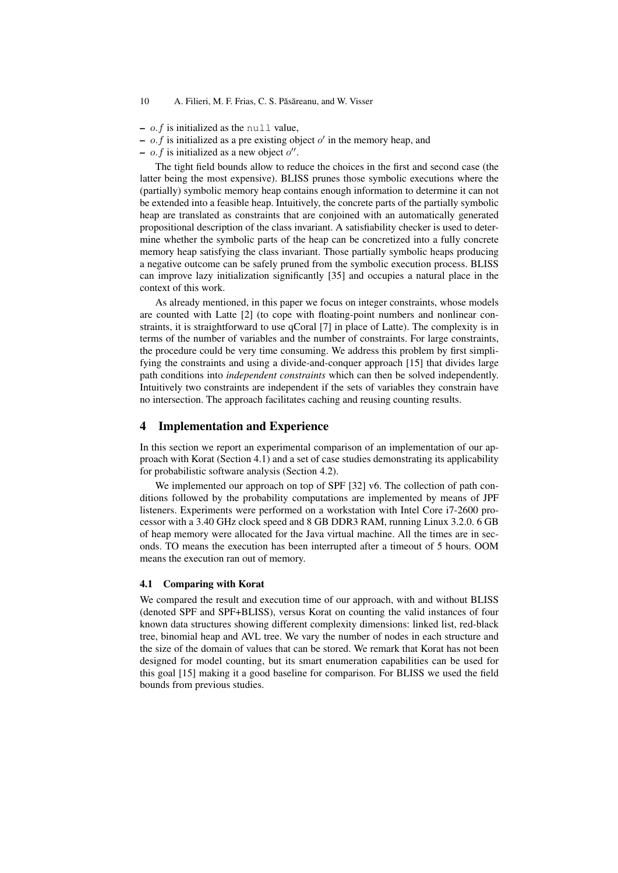– *o.f* is initialized as the null value,

 $-$  o. f is initialized as a pre existing object o' in the memory heap, and

 $-$  o.f is initialized as a new object o''.

The tight field bounds allow to reduce the choices in the first and second case (the latter being the most expensive). BLISS prunes those symbolic executions where the (partially) symbolic memory heap contains enough information to determine it can not be extended into a feasible heap. Intuitively, the concrete parts of the partially symbolic heap are translated as constraints that are conjoined with an automatically generated propositional description of the class invariant. A satisfiability checker is used to determine whether the symbolic parts of the heap can be concretized into a fully concrete memory heap satisfying the class invariant. Those partially symbolic heaps producing a negative outcome can be safely pruned from the symbolic execution process. BLISS can improve lazy initialization significantly [35] and occupies a natural place in the context of this work.

As already mentioned, in this paper we focus on integer constraints, whose models are counted with Latte [2] (to cope with floating-point numbers and nonlinear constraints, it is straightforward to use qCoral [7] in place of Latte). The complexity is in terms of the number of variables and the number of constraints. For large constraints, the procedure could be very time consuming. We address this problem by first simplifying the constraints and using a divide-and-conquer approach [15] that divides large path conditions into *independent constraints* which can then be solved independently. Intuitively two constraints are independent if the sets of variables they constrain have no intersection. The approach facilitates caching and reusing counting results.

# 4 Implementation and Experience

In this section we report an experimental comparison of an implementation of our approach with Korat (Section 4.1) and a set of case studies demonstrating its applicability for probabilistic software analysis (Section 4.2).

We implemented our approach on top of SPF [32] v6. The collection of path conditions followed by the probability computations are implemented by means of JPF listeners. Experiments were performed on a workstation with Intel Core i7-2600 processor with a 3.40 GHz clock speed and 8 GB DDR3 RAM, running Linux 3.2.0. 6 GB of heap memory were allocated for the Java virtual machine. All the times are in seconds. TO means the execution has been interrupted after a timeout of 5 hours. OOM means the execution ran out of memory.

## 4.1 Comparing with Korat

We compared the result and execution time of our approach, with and without BLISS (denoted SPF and SPF+BLISS), versus Korat on counting the valid instances of four known data structures showing different complexity dimensions: linked list, red-black tree, binomial heap and AVL tree. We vary the number of nodes in each structure and the size of the domain of values that can be stored. We remark that Korat has not been designed for model counting, but its smart enumeration capabilities can be used for this goal [15] making it a good baseline for comparison. For BLISS we used the field bounds from previous studies.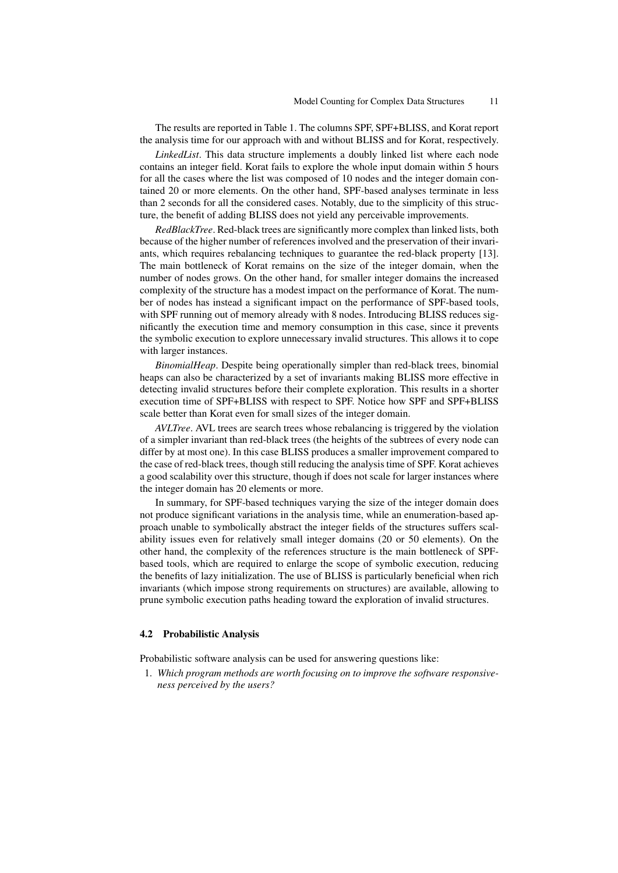The results are reported in Table 1. The columns SPF, SPF+BLISS, and Korat report the analysis time for our approach with and without BLISS and for Korat, respectively.

*LinkedList*. This data structure implements a doubly linked list where each node contains an integer field. Korat fails to explore the whole input domain within 5 hours for all the cases where the list was composed of 10 nodes and the integer domain contained 20 or more elements. On the other hand, SPF-based analyses terminate in less than 2 seconds for all the considered cases. Notably, due to the simplicity of this structure, the benefit of adding BLISS does not yield any perceivable improvements.

*RedBlackTree*. Red-black trees are significantly more complex than linked lists, both because of the higher number of references involved and the preservation of their invariants, which requires rebalancing techniques to guarantee the red-black property [13]. The main bottleneck of Korat remains on the size of the integer domain, when the number of nodes grows. On the other hand, for smaller integer domains the increased complexity of the structure has a modest impact on the performance of Korat. The number of nodes has instead a significant impact on the performance of SPF-based tools, with SPF running out of memory already with 8 nodes. Introducing BLISS reduces significantly the execution time and memory consumption in this case, since it prevents the symbolic execution to explore unnecessary invalid structures. This allows it to cope with larger instances.

*BinomialHeap*. Despite being operationally simpler than red-black trees, binomial heaps can also be characterized by a set of invariants making BLISS more effective in detecting invalid structures before their complete exploration. This results in a shorter execution time of SPF+BLISS with respect to SPF. Notice how SPF and SPF+BLISS scale better than Korat even for small sizes of the integer domain.

*AVLTree*. AVL trees are search trees whose rebalancing is triggered by the violation of a simpler invariant than red-black trees (the heights of the subtrees of every node can differ by at most one). In this case BLISS produces a smaller improvement compared to the case of red-black trees, though still reducing the analysis time of SPF. Korat achieves a good scalability over this structure, though if does not scale for larger instances where the integer domain has 20 elements or more.

In summary, for SPF-based techniques varying the size of the integer domain does not produce significant variations in the analysis time, while an enumeration-based approach unable to symbolically abstract the integer fields of the structures suffers scalability issues even for relatively small integer domains (20 or 50 elements). On the other hand, the complexity of the references structure is the main bottleneck of SPFbased tools, which are required to enlarge the scope of symbolic execution, reducing the benefits of lazy initialization. The use of BLISS is particularly beneficial when rich invariants (which impose strong requirements on structures) are available, allowing to prune symbolic execution paths heading toward the exploration of invalid structures.

## 4.2 Probabilistic Analysis

Probabilistic software analysis can be used for answering questions like:

1. *Which program methods are worth focusing on to improve the software responsiveness perceived by the users?*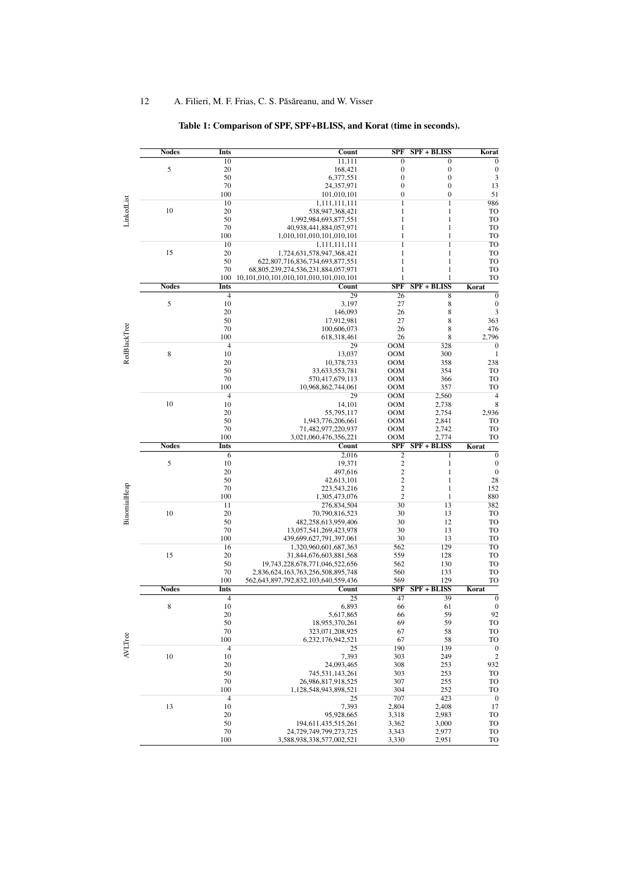|              | <b>Nodes</b> | Ints                 | Count                                               | <b>SPF</b>       | <b>SPF + BLISS</b> | Korat                              |
|--------------|--------------|----------------------|-----------------------------------------------------|------------------|--------------------|------------------------------------|
|              |              | 10                   | 11,111                                              | $\boldsymbol{0}$ | $\boldsymbol{0}$   | $\boldsymbol{0}$                   |
|              | 5            | 20                   | 168,421                                             | $\boldsymbol{0}$ | $\boldsymbol{0}$   | $\mathbf{0}$                       |
| LinkedList   |              | 50                   | 6,377,551                                           | $\boldsymbol{0}$ | $\boldsymbol{0}$   | 3                                  |
|              |              | 70                   | 24,357,971                                          | $\mathbf{0}$     | $\boldsymbol{0}$   | 13                                 |
|              |              | 100                  | 101,010,101                                         | $\mathbf{0}$     | $\mathbf{0}$       | 51                                 |
|              |              | 10                   | 1,111,111,111                                       | $\mathbf{1}$     | $\mathbf{1}$       | 986                                |
|              | 10           | 20                   | 538,947,368,421                                     | $\mathbf{1}$     | 1                  | <b>TO</b>                          |
|              |              | 50                   | 1,992,984,693,877,551                               | $\mathbf{1}$     | 1                  | TO                                 |
|              |              | 70                   | 40,938,441,884,057,971                              | 1                | 1                  | <b>TO</b>                          |
|              |              | 100                  | 1,010,101,010,101,010,101                           | $\mathbf{1}$     | 1                  | <b>TO</b>                          |
|              |              | 10                   | 1,111,111,111                                       | $\overline{1}$   | 1                  | <b>TO</b>                          |
|              | 15           | 20                   | 1,724,631,578,947,368,421                           | $\mathbf{1}$     | 1                  | TO                                 |
|              |              | 50                   | 622,807,716,836,734,693,877,551                     | 1                | 1                  | TO                                 |
|              |              | 70                   | 68, 805, 239, 274, 536, 231, 884, 057, 971          | 1                | 1                  | TO                                 |
|              |              | 100                  | 10,101,010,101,010,101,010,101,010,101              | $\mathbf{1}$     | 1                  | <b>TO</b>                          |
|              | <b>Nodes</b> | Ints                 | Count                                               | <b>SPF</b>       | <b>SPF + BLISS</b> | Korat                              |
|              |              | $\overline{4}$       | 29                                                  | 26               | 8                  | $\overline{0}$                     |
|              | 5            | 10                   | 3,197                                               | 27               | 8                  | $\boldsymbol{0}$                   |
|              |              | 20                   | 146,093                                             | 26               | 8                  | 3                                  |
|              |              | 50                   | 17,912,981                                          | 27               | 8                  | 363                                |
|              |              | 70                   | 100,606,073                                         | 26               | 8                  | 476                                |
|              |              | 100                  | 618,318,461                                         | 26               | 8                  | 2,796                              |
|              |              | $\overline{4}$       | 29                                                  | <b>OOM</b>       | 328                | $\boldsymbol{0}$                   |
| RedBlackTree | 8            | 10                   | 13,037                                              | <b>OOM</b>       | 300                | 1                                  |
|              |              | 20                   | 10,378,733                                          | <b>OOM</b>       | 358                | 238                                |
|              |              | 50                   | 33, 633, 553, 781                                   | <b>OOM</b>       | 354                | <b>TO</b>                          |
|              |              | 70                   | 570,417,679,113                                     | <b>OOM</b>       | 366                | <b>TO</b>                          |
|              |              | 100                  | 10,968,862,744,061                                  | <b>OOM</b>       | 357                | TO                                 |
|              |              | $\overline{4}$       | 29                                                  | <b>OOM</b>       | 2,560              | $\overline{4}$                     |
|              | 10           | 10                   | 14,101                                              | <b>OOM</b>       | 2,738              | 8                                  |
|              |              | 20                   | 55,795,117                                          | <b>OOM</b>       | 2,754              | 2,936                              |
|              |              | 50                   | 1,943,776,206,661                                   | <b>OOM</b>       | 2,841              | TO                                 |
|              |              | 70                   | 71,482,977,220,937                                  | <b>OOM</b>       | 2,742              | <b>TO</b>                          |
|              |              | 100                  | 3,021,060,476,356,221                               | <b>OOM</b>       | 2,774              | TO                                 |
|              | <b>Nodes</b> | Ints                 | Count                                               | <b>SPF</b>       | $SPF + BLISS$      | Korat                              |
|              |              | 6                    | 2,016                                               | $\overline{c}$   | 1                  | $\mathbf{0}$                       |
|              |              |                      |                                                     |                  |                    |                                    |
|              | 5            | 10                   | 19,371                                              | $\overline{c}$   | 1                  | $\mathbf{0}$                       |
|              |              | 20                   | 497,616                                             | $\overline{c}$   | 1                  | $\boldsymbol{0}$                   |
|              |              | 50                   | 42,613,101                                          | $\overline{c}$   | $\mathbf{1}$       | 28                                 |
|              |              | 70                   | 223,543,216                                         | $\overline{c}$   | 1                  | 152                                |
|              |              | 100                  | 1,305,473,076                                       | $\overline{2}$   | 1                  | 880                                |
|              |              | 11                   | 276,834,504                                         | 30               | 13                 | 382                                |
|              | 10           | 20                   | 70,790,816,523                                      | 30               | 13                 | TO                                 |
| BinomialHeap |              | 50                   | 482,258,613,959,406                                 | 30               | 12                 | TO                                 |
|              |              | 70                   | 13,057,541,269,423,978                              | 30               | 13                 | TO                                 |
|              |              | 100                  | 439,699,627,791,397,061                             | 30               | 13                 | <b>TO</b>                          |
|              |              | 16                   | 1,320,960,601,687,363                               | 562              | 129                | <b>TO</b>                          |
|              | 15           | 20                   | 31,844,676,603,881,568                              | 559              | 128                | TO                                 |
|              |              | 50                   | 19,743,228,678,771,046,522,656                      | 562              | 130                | TO                                 |
|              |              | 70                   | 2,836,624,163,763,256,508,895,748                   | 560              | 133                | <b>TO</b>                          |
|              |              | 100                  | 562,643,897,792,832,103,640,559,436                 | 569              | 129                | TO                                 |
|              | <b>Nodes</b> | Ints                 | Count                                               | <b>SPF</b>       | <b>SPF + BLISS</b> | Korat                              |
|              |              | $\overline{4}$       | 25                                                  | 47               | 39                 | $\mathbf{0}$                       |
|              | 8            | 10                   | 6,893                                               | 66               | 61                 | $\boldsymbol{0}$                   |
|              |              | 20                   | 5,617,865                                           | 66               | 59                 | 92                                 |
|              |              | 50                   | 18,955,370,261                                      | 69               | 59                 | TO                                 |
|              |              | 70                   | 323,071,208,925                                     | 67               | 58                 | TO                                 |
|              |              | 100                  | 6,232,176,942,521                                   | 67               | 58                 | TO                                 |
| AVLTree      | 10           | $\overline{4}$<br>10 | 25<br>7,393                                         | 190<br>303       | 139<br>249         | $\boldsymbol{0}$<br>$\overline{2}$ |
|              |              |                      |                                                     |                  |                    |                                    |
|              |              | 20<br>50             | 24,093,465<br>745,531,143,261                       | 308<br>303       | 253<br>253         | 932<br>TO                          |
|              |              | 70                   | 26,986,817,918,525                                  | 307              | 255                | TO                                 |
|              |              | 100                  | 1,128,548,943,898,521                               | 304              | 252                | TO                                 |
|              |              | $\overline{4}$       | 25                                                  | 707              | 423                | $\boldsymbol{0}$                   |
|              | 13           | 10                   | 7,393                                               | 2,804            | 2,408              | 17                                 |
|              |              | 20                   | 95,928,665                                          | 3,318            | 2,983              | TO                                 |
|              |              | 50                   | 194,611,435,515,261                                 | 3,362            | 3,000              | TO                                 |
|              |              | 70<br>100            | 24,729,749,799,273,725<br>3,588,938,338,577,002,521 | 3,343<br>3,330   | 2,977<br>2,951     | <b>TO</b><br>TO                    |

# Table 1: Comparison of SPF, SPF+BLISS, and Korat (time in seconds).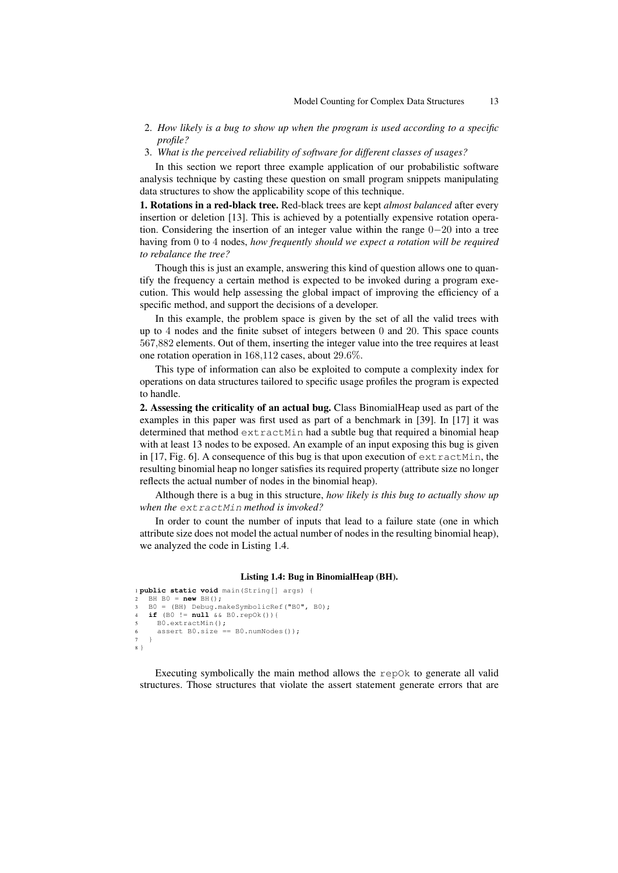- 2. *How likely is a bug to show up when the program is used according to a specific profile?*
- 3. *What is the perceived reliability of software for different classes of usages?*

In this section we report three example application of our probabilistic software analysis technique by casting these question on small program snippets manipulating data structures to show the applicability scope of this technique.

1. Rotations in a red-black tree. Red-black trees are kept *almost balanced* after every insertion or deletion [13]. This is achieved by a potentially expensive rotation operation. Considering the insertion of an integer value within the range 0−20 into a tree having from 0 to 4 nodes, *how frequently should we expect a rotation will be required to rebalance the tree?*

Though this is just an example, answering this kind of question allows one to quantify the frequency a certain method is expected to be invoked during a program execution. This would help assessing the global impact of improving the efficiency of a specific method, and support the decisions of a developer.

In this example, the problem space is given by the set of all the valid trees with up to 4 nodes and the finite subset of integers between 0 and 20. This space counts 567,882 elements. Out of them, inserting the integer value into the tree requires at least one rotation operation in 168,112 cases, about 29.6%.

This type of information can also be exploited to compute a complexity index for operations on data structures tailored to specific usage profiles the program is expected to handle.

2. Assessing the criticality of an actual bug. Class BinomialHeap used as part of the examples in this paper was first used as part of a benchmark in [39]. In [17] it was determined that method  $ext{ractMin}$  had a subtle bug that required a binomial heap with at least 13 nodes to be exposed. An example of an input exposing this bug is given in [17, Fig. 6]. A consequence of this bug is that upon execution of extractMin, the resulting binomial heap no longer satisfies its required property (attribute size no longer reflects the actual number of nodes in the binomial heap).

Although there is a bug in this structure, *how likely is this bug to actually show up when the* extractMin *method is invoked?*

In order to count the number of inputs that lead to a failure state (one in which attribute size does not model the actual number of nodes in the resulting binomial heap), we analyzed the code in Listing 1.4.

## Listing 1.4: Bug in BinomialHeap (BH).

```
1 public static void main(String[] args) {
   2 BH B0 = new BH();
   3 B0 = (BH) Debug.makeSymbolicRef("B0", B0);
   4 if (B0 != null && B0.repOk()){
     5 B0.extractMin();
     assert B0.size == B0.numNodes();
7 }
8 }
```
Executing symbolically the main method allows the repOk to generate all valid structures. Those structures that violate the assert statement generate errors that are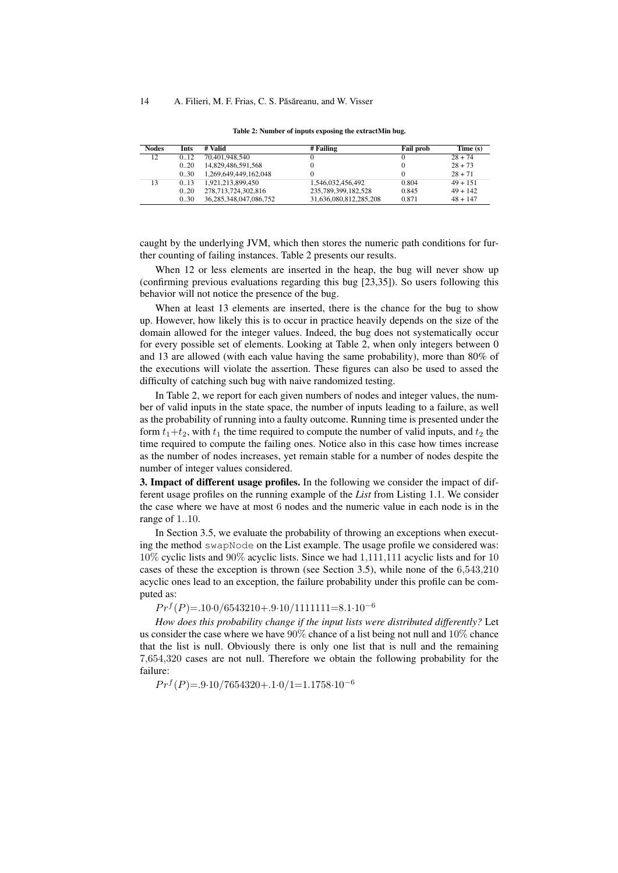| <b>Nodes</b> | Ints | # Valid                | # Failing              | <b>Fail prob</b> | Time (s)   |
|--------------|------|------------------------|------------------------|------------------|------------|
| 12           | 0.12 | 70.401.948.540         |                        |                  | $28 + 74$  |
|              | 0.20 | 14,829,486,591,568     |                        |                  | $28 + 73$  |
|              | 0.30 | 1.269.649.449.162.048  |                        |                  | $28 + 71$  |
| 13           | 0.13 | 1.921.213.899.450      | 1.546.032.456.492      | 0.804            | $49 + 151$ |
|              | 0.20 | 278.713.724.302.816    | 235,789,399,182,528    | 0.845            | $49 + 142$ |
|              | 0.30 | 36.285.348.047.086.752 | 31.636.080.812.285.208 | 0.871            | $48 + 147$ |

Table 2: Number of inputs exposing the extractMin bug.

caught by the underlying JVM, which then stores the numeric path conditions for further counting of failing instances. Table 2 presents our results.

When 12 or less elements are inserted in the heap, the bug will never show up (confirming previous evaluations regarding this bug [23,35]). So users following this behavior will not notice the presence of the bug.

When at least 13 elements are inserted, there is the chance for the bug to show up. However, how likely this is to occur in practice heavily depends on the size of the domain allowed for the integer values. Indeed, the bug does not systematically occur for every possible set of elements. Looking at Table 2, when only integers between 0 and 13 are allowed (with each value having the same probability), more than 80% of the executions will violate the assertion. These figures can also be used to assed the difficulty of catching such bug with naive randomized testing.

In Table 2, we report for each given numbers of nodes and integer values, the number of valid inputs in the state space, the number of inputs leading to a failure, as well as the probability of running into a faulty outcome. Running time is presented under the form  $t_1+t_2$ , with  $t_1$  the time required to compute the number of valid inputs, and  $t_2$  the time required to compute the failing ones. Notice also in this case how times increase as the number of nodes increases, yet remain stable for a number of nodes despite the number of integer values considered.

3. Impact of different usage profiles. In the following we consider the impact of different usage profiles on the running example of the *List* from Listing 1.1. We consider the case where we have at most 6 nodes and the numeric value in each node is in the range of 1..10.

In Section 3.5, we evaluate the probability of throwing an exceptions when executing the method swapNode on the List example. The usage profile we considered was: 10% cyclic lists and 90% acyclic lists. Since we had 1,111,111 acyclic lists and for 10 cases of these the exception is thrown (see Section 3.5), while none of the 6,543,210 acyclic ones lead to an exception, the failure probability under this profile can be computed as:

 $Pr^{f}(P) = 10.0/6543210 + .9.10/1111111 = 8.1.10^{-6}$ 

*How does this probability change if the input lists were distributed differently?* Let us consider the case where we have  $90\%$  chance of a list being not null and  $10\%$  chance that the list is null. Obviously there is only one list that is null and the remaining 7,654,320 cases are not null. Therefore we obtain the following probability for the failure:

$$
Pr^f(P)=.9.10/7654320+.1.0/1=1.1758.10^{-6}
$$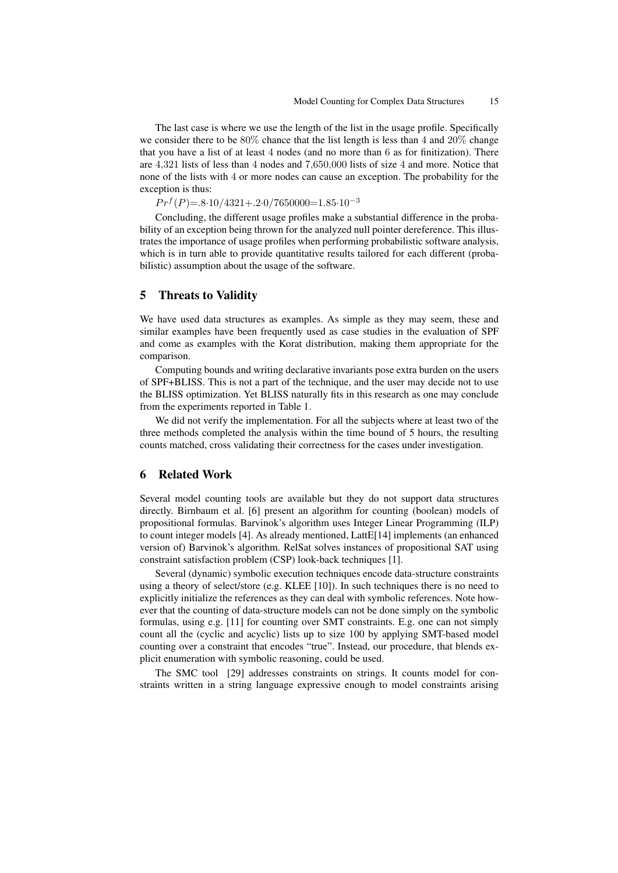The last case is where we use the length of the list in the usage profile. Specifically we consider there to be  $80\%$  chance that the list length is less than 4 and  $20\%$  change that you have a list of at least 4 nodes (and no more than 6 as for finitization). There are 4,321 lists of less than 4 nodes and 7,650,000 lists of size 4 and more. Notice that none of the lists with 4 or more nodes can cause an exception. The probability for the exception is thus:

 $Pr<sup>f</sup>(P) = .8·10/4321+.2·0/7650000 = 1.85·10<sup>-3</sup>$ 

Concluding, the different usage profiles make a substantial difference in the probability of an exception being thrown for the analyzed null pointer dereference. This illustrates the importance of usage profiles when performing probabilistic software analysis, which is in turn able to provide quantitative results tailored for each different (probabilistic) assumption about the usage of the software.

## 5 Threats to Validity

We have used data structures as examples. As simple as they may seem, these and similar examples have been frequently used as case studies in the evaluation of SPF and come as examples with the Korat distribution, making them appropriate for the comparison.

Computing bounds and writing declarative invariants pose extra burden on the users of SPF+BLISS. This is not a part of the technique, and the user may decide not to use the BLISS optimization. Yet BLISS naturally fits in this research as one may conclude from the experiments reported in Table 1.

We did not verify the implementation. For all the subjects where at least two of the three methods completed the analysis within the time bound of 5 hours, the resulting counts matched, cross validating their correctness for the cases under investigation.

# 6 Related Work

Several model counting tools are available but they do not support data structures directly. Birnbaum et al. [6] present an algorithm for counting (boolean) models of propositional formulas. Barvinok's algorithm uses Integer Linear Programming (ILP) to count integer models [4]. As already mentioned, LattE[14] implements (an enhanced version of) Barvinok's algorithm. RelSat solves instances of propositional SAT using constraint satisfaction problem (CSP) look-back techniques [1].

Several (dynamic) symbolic execution techniques encode data-structure constraints using a theory of select/store (e.g. KLEE [10]). In such techniques there is no need to explicitly initialize the references as they can deal with symbolic references. Note however that the counting of data-structure models can not be done simply on the symbolic formulas, using e.g. [11] for counting over SMT constraints. E.g. one can not simply count all the (cyclic and acyclic) lists up to size 100 by applying SMT-based model counting over a constraint that encodes "true". Instead, our procedure, that blends explicit enumeration with symbolic reasoning, could be used.

The SMC tool [29] addresses constraints on strings. It counts model for constraints written in a string language expressive enough to model constraints arising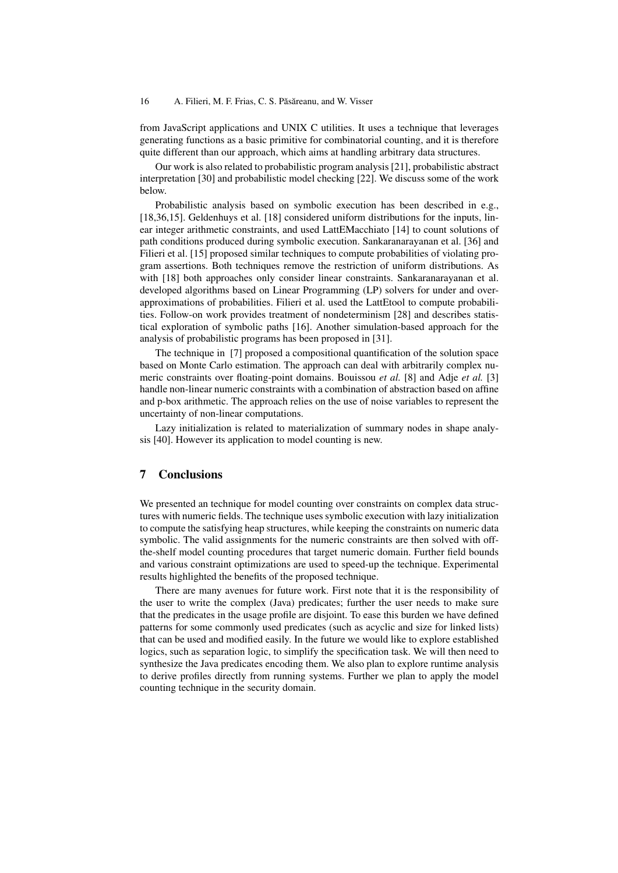from JavaScript applications and UNIX C utilities. It uses a technique that leverages generating functions as a basic primitive for combinatorial counting, and it is therefore quite different than our approach, which aims at handling arbitrary data structures.

Our work is also related to probabilistic program analysis [21], probabilistic abstract interpretation [30] and probabilistic model checking [22]. We discuss some of the work below.

Probabilistic analysis based on symbolic execution has been described in e.g., [18,36,15]. Geldenhuys et al. [18] considered uniform distributions for the inputs, linear integer arithmetic constraints, and used LattEMacchiato [14] to count solutions of path conditions produced during symbolic execution. Sankaranarayanan et al. [36] and Filieri et al. [15] proposed similar techniques to compute probabilities of violating program assertions. Both techniques remove the restriction of uniform distributions. As with [18] both approaches only consider linear constraints. Sankaranarayanan et al. developed algorithms based on Linear Programming (LP) solvers for under and overapproximations of probabilities. Filieri et al. used the LattEtool to compute probabilities. Follow-on work provides treatment of nondeterminism [28] and describes statistical exploration of symbolic paths [16]. Another simulation-based approach for the analysis of probabilistic programs has been proposed in [31].

The technique in [7] proposed a compositional quantification of the solution space based on Monte Carlo estimation. The approach can deal with arbitrarily complex numeric constraints over floating-point domains. Bouissou *et al.* [8] and Adje *et al.* [3] handle non-linear numeric constraints with a combination of abstraction based on affine and p-box arithmetic. The approach relies on the use of noise variables to represent the uncertainty of non-linear computations.

Lazy initialization is related to materialization of summary nodes in shape analysis [40]. However its application to model counting is new.

# 7 Conclusions

We presented an technique for model counting over constraints on complex data structures with numeric fields. The technique uses symbolic execution with lazy initialization to compute the satisfying heap structures, while keeping the constraints on numeric data symbolic. The valid assignments for the numeric constraints are then solved with offthe-shelf model counting procedures that target numeric domain. Further field bounds and various constraint optimizations are used to speed-up the technique. Experimental results highlighted the benefits of the proposed technique.

There are many avenues for future work. First note that it is the responsibility of the user to write the complex (Java) predicates; further the user needs to make sure that the predicates in the usage profile are disjoint. To ease this burden we have defined patterns for some commonly used predicates (such as acyclic and size for linked lists) that can be used and modified easily. In the future we would like to explore established logics, such as separation logic, to simplify the specification task. We will then need to synthesize the Java predicates encoding them. We also plan to explore runtime analysis to derive profiles directly from running systems. Further we plan to apply the model counting technique in the security domain.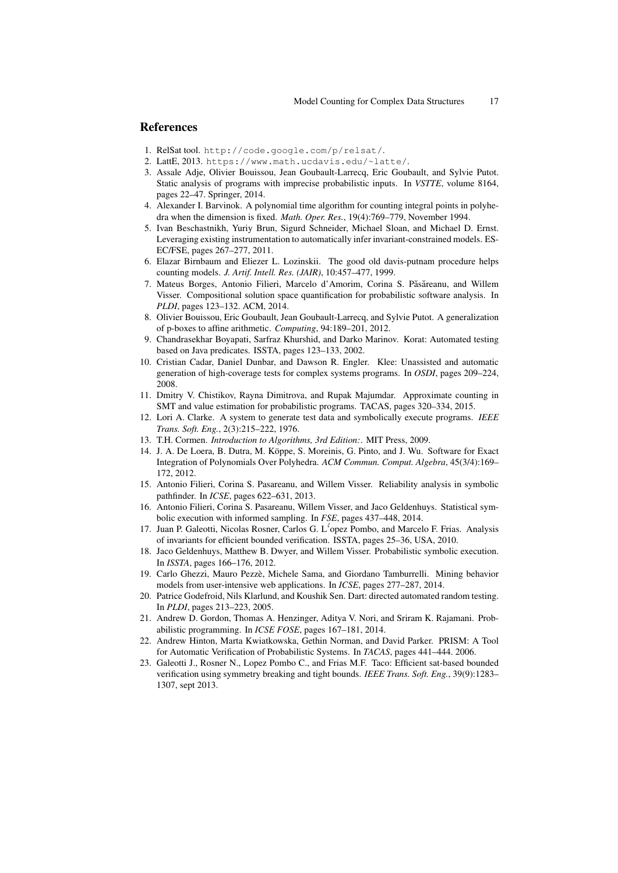## References

- 1. RelSat tool. http://code.google.com/p/relsat/.
- 2. LattE, 2013. https://www.math.ucdavis.edu/~latte/.
- 3. Assale Adje, Olivier Bouissou, Jean Goubault-Larrecq, Eric Goubault, and Sylvie Putot. Static analysis of programs with imprecise probabilistic inputs. In *VSTTE*, volume 8164, pages 22–47. Springer, 2014.
- 4. Alexander I. Barvinok. A polynomial time algorithm for counting integral points in polyhedra when the dimension is fixed. *Math. Oper. Res.*, 19(4):769–779, November 1994.
- 5. Ivan Beschastnikh, Yuriy Brun, Sigurd Schneider, Michael Sloan, and Michael D. Ernst. Leveraging existing instrumentation to automatically infer invariant-constrained models. ES-EC/FSE, pages 267–277, 2011.
- 6. Elazar Birnbaum and Eliezer L. Lozinskii. The good old davis-putnam procedure helps counting models. *J. Artif. Intell. Res. (JAIR)*, 10:457–477, 1999.
- 7. Mateus Borges, Antonio Filieri, Marcelo d'Amorim, Corina S. Păsăreanu, and Willem Visser. Compositional solution space quantification for probabilistic software analysis. In *PLDI*, pages 123–132. ACM, 2014.
- 8. Olivier Bouissou, Eric Goubault, Jean Goubault-Larrecq, and Sylvie Putot. A generalization of p-boxes to affine arithmetic. *Computing*, 94:189–201, 2012.
- 9. Chandrasekhar Boyapati, Sarfraz Khurshid, and Darko Marinov. Korat: Automated testing based on Java predicates. ISSTA, pages 123–133, 2002.
- 10. Cristian Cadar, Daniel Dunbar, and Dawson R. Engler. Klee: Unassisted and automatic generation of high-coverage tests for complex systems programs. In *OSDI*, pages 209–224, 2008.
- 11. Dmitry V. Chistikov, Rayna Dimitrova, and Rupak Majumdar. Approximate counting in SMT and value estimation for probabilistic programs. TACAS, pages 320–334, 2015.
- 12. Lori A. Clarke. A system to generate test data and symbolically execute programs. *IEEE Trans. Soft. Eng.*, 2(3):215–222, 1976.
- 13. T.H. Cormen. *Introduction to Algorithms, 3rd Edition:*. MIT Press, 2009.
- 14. J. A. De Loera, B. Dutra, M. Köppe, S. Moreinis, G. Pinto, and J. Wu. Software for Exact Integration of Polynomials Over Polyhedra. *ACM Commun. Comput. Algebra*, 45(3/4):169– 172, 2012.
- 15. Antonio Filieri, Corina S. Pasareanu, and Willem Visser. Reliability analysis in symbolic pathfinder. In *ICSE*, pages 622–631, 2013.
- 16. Antonio Filieri, Corina S. Pasareanu, Willem Visser, and Jaco Geldenhuys. Statistical symbolic execution with informed sampling. In *FSE*, pages 437–448, 2014.
- 17. Juan P. Galeotti, Nicolas Rosner, Carlos G. L´'opez Pombo, and Marcelo F. Frias. Analysis of invariants for efficient bounded verification. ISSTA, pages 25–36, USA, 2010.
- 18. Jaco Geldenhuys, Matthew B. Dwyer, and Willem Visser. Probabilistic symbolic execution. In *ISSTA*, pages 166–176, 2012.
- 19. Carlo Ghezzi, Mauro Pezzè, Michele Sama, and Giordano Tamburrelli. Mining behavior models from user-intensive web applications. In *ICSE*, pages 277–287, 2014.
- 20. Patrice Godefroid, Nils Klarlund, and Koushik Sen. Dart: directed automated random testing. In *PLDI*, pages 213–223, 2005.
- 21. Andrew D. Gordon, Thomas A. Henzinger, Aditya V. Nori, and Sriram K. Rajamani. Probabilistic programming. In *ICSE FOSE*, pages 167–181, 2014.
- 22. Andrew Hinton, Marta Kwiatkowska, Gethin Norman, and David Parker. PRISM: A Tool for Automatic Verification of Probabilistic Systems. In *TACAS*, pages 441–444. 2006.
- 23. Galeotti J., Rosner N., Lopez Pombo C., and Frias M.F. Taco: Efficient sat-based bounded verification using symmetry breaking and tight bounds. *IEEE Trans. Soft. Eng.*, 39(9):1283– 1307, sept 2013.